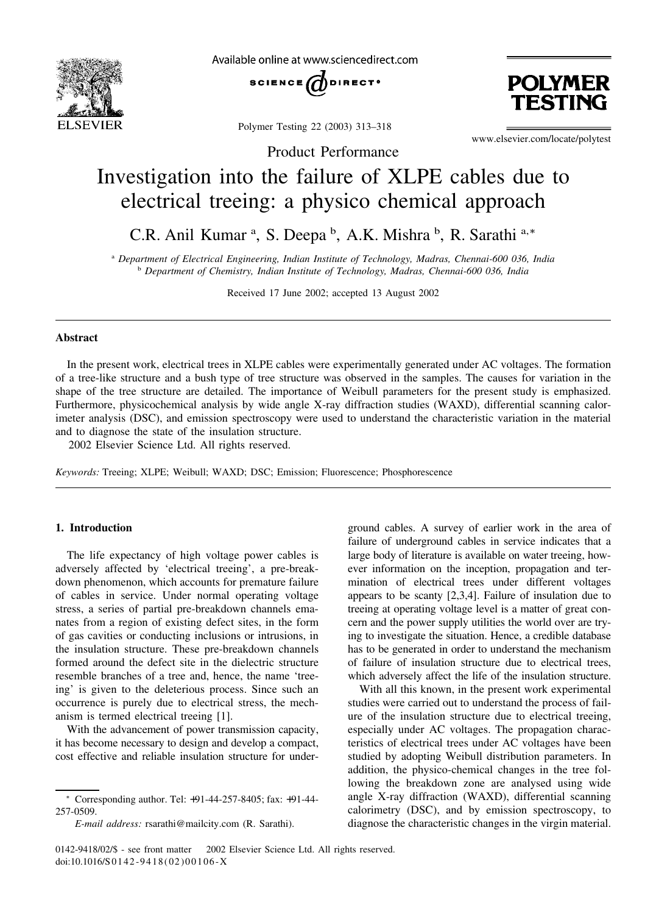

Available online at www.sciencedirect.com



Polymer Testing 22 (2003) 313–318



www.elsevier.com/locate/polytest

# Investigation into the failure of XLPE cables due to electrical treeing: a physico chemical approach

Product Performance

C.R. Anil Kumar<sup>a</sup>, S. Deepa<sup>b</sup>, A.K. Mishra<sup>b</sup>, R. Sarathi<sup>a,\*</sup>

<sup>a</sup> *Department of Electrical Engineering, Indian Institute of Technology, Madras, Chennai-600 036, India* <sup>b</sup> *Department of Chemistry, Indian Institute of Technology, Madras, Chennai-600 036, India*

Received 17 June 2002; accepted 13 August 2002

#### **Abstract**

In the present work, electrical trees in XLPE cables were experimentally generated under AC voltages. The formation of a tree-like structure and a bush type of tree structure was observed in the samples. The causes for variation in the shape of the tree structure are detailed. The importance of Weibull parameters for the present study is emphasized. Furthermore, physicochemical analysis by wide angle X-ray diffraction studies (WAXD), differential scanning calorimeter analysis (DSC), and emission spectroscopy were used to understand the characteristic variation in the material and to diagnose the state of the insulation structure.

2002 Elsevier Science Ltd. All rights reserved.

*Keywords:* Treeing; XLPE; Weibull; WAXD; DSC; Emission; Fluorescence; Phosphorescence

## **1. Introduction**

The life expectancy of high voltage power cables is adversely affected by 'electrical treeing', a pre-breakdown phenomenon, which accounts for premature failure of cables in service. Under normal operating voltage stress, a series of partial pre-breakdown channels emanates from a region of existing defect sites, in the form of gas cavities or conducting inclusions or intrusions, in the insulation structure. These pre-breakdown channels formed around the defect site in the dielectric structure resemble branches of a tree and, hence, the name 'treeing' is given to the deleterious process. Since such an occurrence is purely due to electrical stress, the mechanism is termed electrical treeing [1].

With the advancement of power transmission capacity, it has become necessary to design and develop a compact, cost effective and reliable insulation structure for under-

*E-mail address:* rsarathi@mailcity.com (R. Sarathi).

ground cables. A survey of earlier work in the area of failure of underground cables in service indicates that a large body of literature is available on water treeing, however information on the inception, propagation and termination of electrical trees under different voltages appears to be scanty [2,3,4]. Failure of insulation due to treeing at operating voltage level is a matter of great concern and the power supply utilities the world over are trying to investigate the situation. Hence, a credible database has to be generated in order to understand the mechanism of failure of insulation structure due to electrical trees, which adversely affect the life of the insulation structure.

With all this known, in the present work experimental studies were carried out to understand the process of failure of the insulation structure due to electrical treeing, especially under AC voltages. The propagation characteristics of electrical trees under AC voltages have been studied by adopting Weibull distribution parameters. In addition, the physico-chemical changes in the tree following the breakdown zone are analysed using wide angle X-ray diffraction (WAXD), differential scanning calorimetry (DSC), and by emission spectroscopy, to diagnose the characteristic changes in the virgin material.

<sup>∗</sup> Corresponding author. Tel: +91-44-257-8405; fax: +91-44- 257-0509.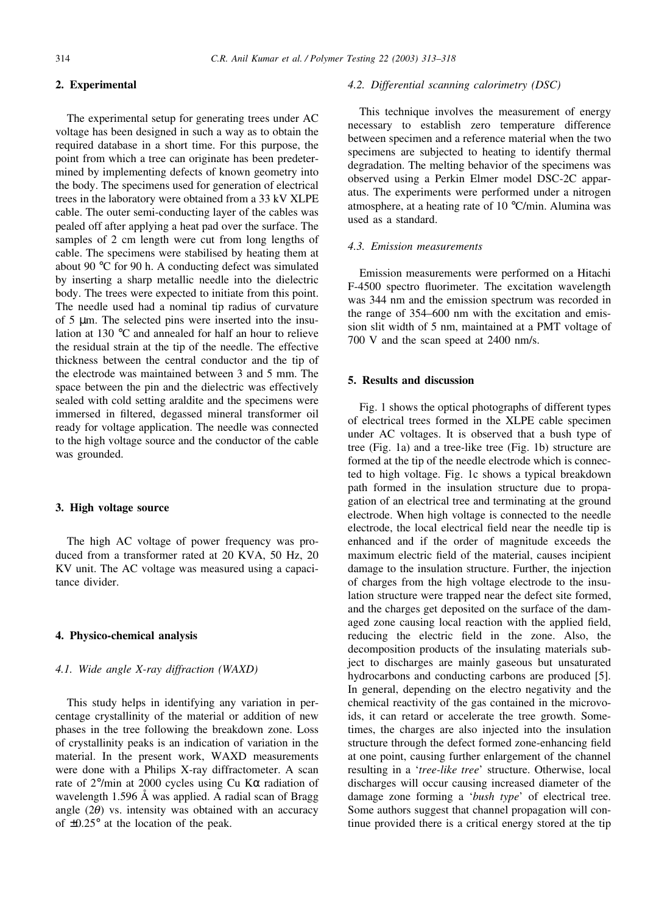# **2. Experimental**

The experimental setup for generating trees under AC voltage has been designed in such a way as to obtain the required database in a short time. For this purpose, the point from which a tree can originate has been predetermined by implementing defects of known geometry into the body. The specimens used for generation of electrical trees in the laboratory were obtained from a 33 kV XLPE cable. The outer semi-conducting layer of the cables was pealed off after applying a heat pad over the surface. The samples of 2 cm length were cut from long lengths of cable. The specimens were stabilised by heating them at about 90 °C for 90 h. A conducting defect was simulated by inserting a sharp metallic needle into the dielectric body. The trees were expected to initiate from this point. The needle used had a nominal tip radius of curvature of 5 µm. The selected pins were inserted into the insulation at 130 °C and annealed for half an hour to relieve the residual strain at the tip of the needle. The effective thickness between the central conductor and the tip of the electrode was maintained between 3 and 5 mm. The space between the pin and the dielectric was effectively sealed with cold setting araldite and the specimens were immersed in filtered, degassed mineral transformer oil ready for voltage application. The needle was connected to the high voltage source and the conductor of the cable was grounded.

#### **3. High voltage source**

The high AC voltage of power frequency was produced from a transformer rated at 20 KVA, 50 Hz, 20 KV unit. The AC voltage was measured using a capacitance divider.

## **4. Physico-chemical analysis**

# *4.1. Wide angle X-ray diffraction (WAXD)*

This study helps in identifying any variation in percentage crystallinity of the material or addition of new phases in the tree following the breakdown zone. Loss of crystallinity peaks is an indication of variation in the material. In the present work, WAXD measurements were done with a Philips X-ray diffractometer. A scan rate of 2°/min at 2000 cycles using Cu Kα radiation of wavelength 1.596 Å was applied. A radial scan of Bragg angle  $(2\theta)$  vs. intensity was obtained with an accuracy of  $\pm 0.25^{\circ}$  at the location of the peak.

#### *4.2. Differential scanning calorimetry (DSC)*

This technique involves the measurement of energy necessary to establish zero temperature difference between specimen and a reference material when the two specimens are subjected to heating to identify thermal degradation. The melting behavior of the specimens was observed using a Perkin Elmer model DSC-2C apparatus. The experiments were performed under a nitrogen atmosphere, at a heating rate of 10 °C/min. Alumina was used as a standard.

#### *4.3. Emission measurements*

Emission measurements were performed on a Hitachi F-4500 spectro fluorimeter. The excitation wavelength was 344 nm and the emission spectrum was recorded in the range of 354–600 nm with the excitation and emission slit width of 5 nm, maintained at a PMT voltage of 700 V and the scan speed at 2400 nm/s.

# **5. Results and discussion**

Fig. 1 shows the optical photographs of different types of electrical trees formed in the XLPE cable specimen under AC voltages. It is observed that a bush type of tree (Fig. 1a) and a tree-like tree (Fig. 1b) structure are formed at the tip of the needle electrode which is connected to high voltage. Fig. 1c shows a typical breakdown path formed in the insulation structure due to propagation of an electrical tree and terminating at the ground electrode. When high voltage is connected to the needle electrode, the local electrical field near the needle tip is enhanced and if the order of magnitude exceeds the maximum electric field of the material, causes incipient damage to the insulation structure. Further, the injection of charges from the high voltage electrode to the insulation structure were trapped near the defect site formed, and the charges get deposited on the surface of the damaged zone causing local reaction with the applied field, reducing the electric field in the zone. Also, the decomposition products of the insulating materials subject to discharges are mainly gaseous but unsaturated hydrocarbons and conducting carbons are produced [5]. In general, depending on the electro negativity and the chemical reactivity of the gas contained in the microvoids, it can retard or accelerate the tree growth. Sometimes, the charges are also injected into the insulation structure through the defect formed zone-enhancing field at one point, causing further enlargement of the channel resulting in a '*tree-like tree*' structure. Otherwise, local discharges will occur causing increased diameter of the damage zone forming a '*bush type*' of electrical tree. Some authors suggest that channel propagation will continue provided there is a critical energy stored at the tip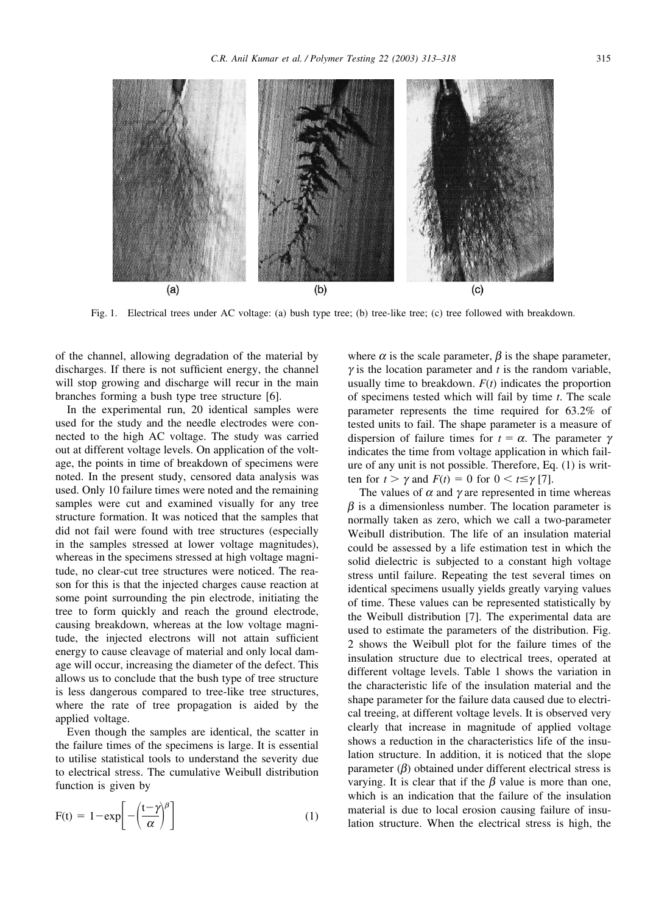

Fig. 1. Electrical trees under AC voltage: (a) bush type tree; (b) tree-like tree; (c) tree followed with breakdown.

of the channel, allowing degradation of the material by discharges. If there is not sufficient energy, the channel will stop growing and discharge will recur in the main branches forming a bush type tree structure [6].

In the experimental run, 20 identical samples were used for the study and the needle electrodes were connected to the high AC voltage. The study was carried out at different voltage levels. On application of the voltage, the points in time of breakdown of specimens were noted. In the present study, censored data analysis was used. Only 10 failure times were noted and the remaining samples were cut and examined visually for any tree structure formation. It was noticed that the samples that did not fail were found with tree structures (especially in the samples stressed at lower voltage magnitudes), whereas in the specimens stressed at high voltage magnitude, no clear-cut tree structures were noticed. The reason for this is that the injected charges cause reaction at some point surrounding the pin electrode, initiating the tree to form quickly and reach the ground electrode, causing breakdown, whereas at the low voltage magnitude, the injected electrons will not attain sufficient energy to cause cleavage of material and only local damage will occur, increasing the diameter of the defect. This allows us to conclude that the bush type of tree structure is less dangerous compared to tree-like tree structures, where the rate of tree propagation is aided by the applied voltage.

Even though the samples are identical, the scatter in the failure times of the specimens is large. It is essential to utilise statistical tools to understand the severity due to electrical stress. The cumulative Weibull distribution function is given by

$$
F(t) = 1 - \exp\left[-\left(\frac{t - \gamma}{\alpha}\right)^{\beta}\right]
$$
 (1)

where  $\alpha$  is the scale parameter,  $\beta$  is the shape parameter,  $\gamma$  is the location parameter and  $t$  is the random variable, usually time to breakdown.  $F(t)$  indicates the proportion of specimens tested which will fail by time *t*. The scale parameter represents the time required for 63.2% of tested units to fail. The shape parameter is a measure of dispersion of failure times for  $t = \alpha$ . The parameter  $\gamma$ indicates the time from voltage application in which failure of any unit is not possible. Therefore, Eq. (1) is written for  $t > \gamma$  and  $F(t) = 0$  for  $0 < t \le \gamma$  [7].

The values of  $\alpha$  and  $\gamma$  are represented in time whereas  $\beta$  is a dimensionless number. The location parameter is normally taken as zero, which we call a two-parameter Weibull distribution. The life of an insulation material could be assessed by a life estimation test in which the solid dielectric is subjected to a constant high voltage stress until failure. Repeating the test several times on identical specimens usually yields greatly varying values of time. These values can be represented statistically by the Weibull distribution [7]. The experimental data are used to estimate the parameters of the distribution. Fig. 2 shows the Weibull plot for the failure times of the insulation structure due to electrical trees, operated at different voltage levels. Table 1 shows the variation in the characteristic life of the insulation material and the shape parameter for the failure data caused due to electrical treeing, at different voltage levels. It is observed very clearly that increase in magnitude of applied voltage shows a reduction in the characteristics life of the insulation structure. In addition, it is noticed that the slope parameter  $(\beta)$  obtained under different electrical stress is varying. It is clear that if the  $\beta$  value is more than one, which is an indication that the failure of the insulation material is due to local erosion causing failure of insulation structure. When the electrical stress is high, the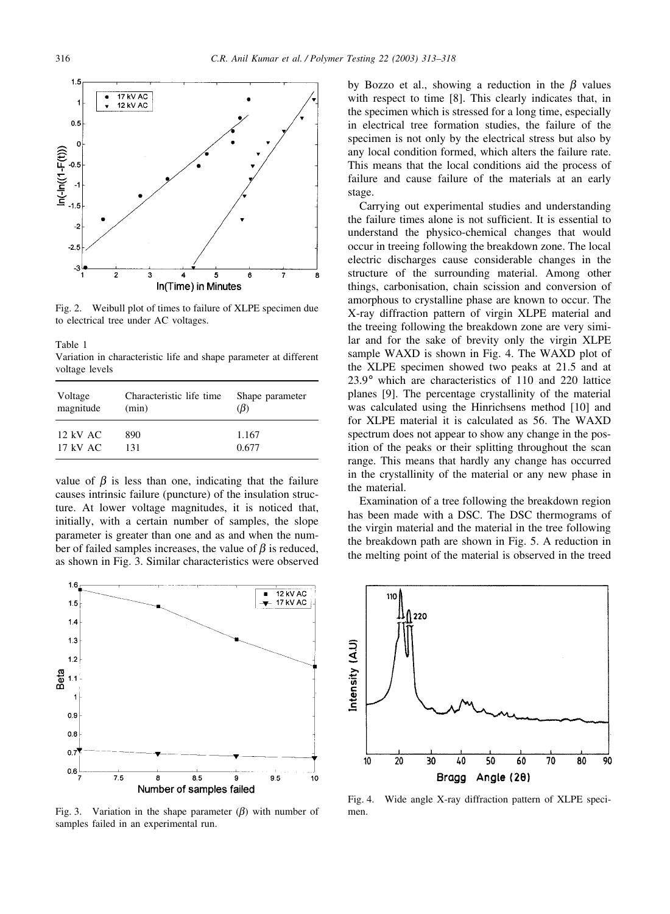

Fig. 2. Weibull plot of times to failure of XLPE specimen due to electrical tree under AC voltages.

Table 1

Variation in characteristic life and shape parameter at different voltage levels

| Voltage   | Characteristic life time | Shape parameter |
|-----------|--------------------------|-----------------|
| magnitude | (min)                    | $(\beta)$       |
| 12 kV AC  | 890                      | 1.167           |
| 17 kV AC  | 131                      | 0.677           |

value of  $\beta$  is less than one, indicating that the failure causes intrinsic failure (puncture) of the insulation structure. At lower voltage magnitudes, it is noticed that, initially, with a certain number of samples, the slope parameter is greater than one and as and when the number of failed samples increases, the value of  $\beta$  is reduced, as shown in Fig. 3. Similar characteristics were observed



Fig. 3. Variation in the shape parameter  $(\beta)$  with number of samples failed in an experimental run.

by Bozzo et al., showing a reduction in the  $\beta$  values with respect to time [8]. This clearly indicates that, in the specimen which is stressed for a long time, especially in electrical tree formation studies, the failure of the specimen is not only by the electrical stress but also by any local condition formed, which alters the failure rate. This means that the local conditions aid the process of failure and cause failure of the materials at an early stage.

Carrying out experimental studies and understanding the failure times alone is not sufficient. It is essential to understand the physico-chemical changes that would occur in treeing following the breakdown zone. The local electric discharges cause considerable changes in the structure of the surrounding material. Among other things, carbonisation, chain scission and conversion of amorphous to crystalline phase are known to occur. The X-ray diffraction pattern of virgin XLPE material and the treeing following the breakdown zone are very similar and for the sake of brevity only the virgin XLPE sample WAXD is shown in Fig. 4. The WAXD plot of the XLPE specimen showed two peaks at 21.5 and at 23.9° which are characteristics of 110 and 220 lattice planes [9]. The percentage crystallinity of the material was calculated using the Hinrichsens method [10] and for XLPE material it is calculated as 56. The WAXD spectrum does not appear to show any change in the position of the peaks or their splitting throughout the scan range. This means that hardly any change has occurred in the crystallinity of the material or any new phase in the material.

Examination of a tree following the breakdown region has been made with a DSC. The DSC thermograms of the virgin material and the material in the tree following the breakdown path are shown in Fig. 5. A reduction in the melting point of the material is observed in the treed



Fig. 4. Wide angle X-ray diffraction pattern of XLPE specimen.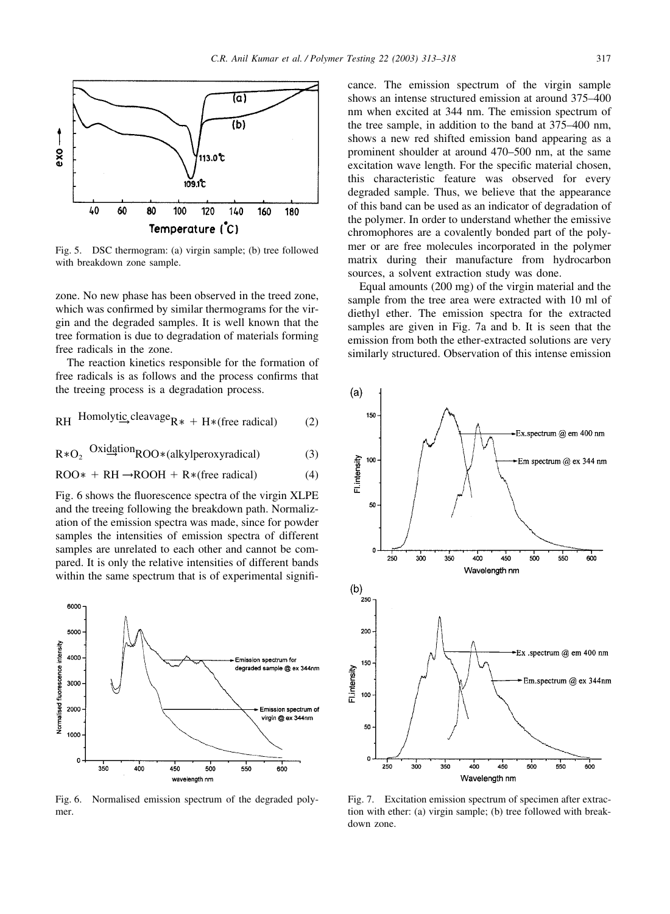

Fig. 5. DSC thermogram: (a) virgin sample; (b) tree followed with breakdown zone sample.

zone. No new phase has been observed in the treed zone, which was confirmed by similar thermograms for the virgin and the degraded samples. It is well known that the tree formation is due to degradation of materials forming free radicals in the zone.

The reaction kinetics responsible for the formation of free radicals is as follows and the process confirms that the treeing process is a degradation process.

$$
RH \quad \text{Homolytic\_clearage}_{R*} + H*(\text{free radical}) \tag{2}
$$

$$
R \ast O_2 \quad \text{Oxidation}_{\text{1} \text{H} \text{OO}^*(\text{alky} \text{1})} \text{proxyradical} \tag{3}
$$

$$
ROO* + RH \rightarrow ROOH + R*(free radical)
$$
 (4)

Fig. 6 shows the fluorescence spectra of the virgin XLPE and the treeing following the breakdown path. Normalization of the emission spectra was made, since for powder samples the intensities of emission spectra of different samples are unrelated to each other and cannot be compared. It is only the relative intensities of different bands within the same spectrum that is of experimental signifi-



Fig. 6. Normalised emission spectrum of the degraded polymer.

cance. The emission spectrum of the virgin sample shows an intense structured emission at around 375–400 nm when excited at 344 nm. The emission spectrum of the tree sample, in addition to the band at 375–400 nm, shows a new red shifted emission band appearing as a prominent shoulder at around 470–500 nm, at the same excitation wave length. For the specific material chosen, this characteristic feature was observed for every degraded sample. Thus, we believe that the appearance of this band can be used as an indicator of degradation of the polymer. In order to understand whether the emissive chromophores are a covalently bonded part of the polymer or are free molecules incorporated in the polymer matrix during their manufacture from hydrocarbon sources, a solvent extraction study was done.

Equal amounts (200 mg) of the virgin material and the sample from the tree area were extracted with 10 ml of diethyl ether. The emission spectra for the extracted samples are given in Fig. 7a and b. It is seen that the emission from both the ether-extracted solutions are very similarly structured. Observation of this intense emission



Fig. 7. Excitation emission spectrum of specimen after extraction with ether: (a) virgin sample; (b) tree followed with breakdown zone.